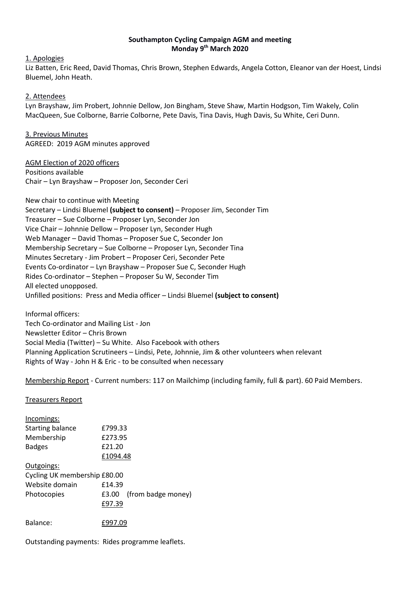# **Southampton Cycling Campaign AGM and meeting Monday 9 th March 2020**

1. Apologies

Liz Batten, Eric Reed, David Thomas, Chris Brown, Stephen Edwards, Angela Cotton, Eleanor van der Hoest, Lindsi Bluemel, John Heath.

#### 2. Attendees

Lyn Brayshaw, Jim Probert, Johnnie Dellow, Jon Bingham, Steve Shaw, Martin Hodgson, Tim Wakely, Colin MacQueen, Sue Colborne, Barrie Colborne, Pete Davis, Tina Davis, Hugh Davis, Su White, Ceri Dunn.

3. Previous Minutes AGREED: 2019 AGM minutes approved

AGM Election of 2020 officers Positions available Chair – Lyn Brayshaw – Proposer Jon, Seconder Ceri

New chair to continue with Meeting Secretary – Lindsi Bluemel **(subject to consent)** – Proposer Jim, Seconder Tim Treasurer – Sue Colborne – Proposer Lyn, Seconder Jon Vice Chair – Johnnie Dellow – Proposer Lyn, Seconder Hugh Web Manager – David Thomas – Proposer Sue C, Seconder Jon Membership Secretary – Sue Colborne – Proposer Lyn, Seconder Tina Minutes Secretary - Jim Probert – Proposer Ceri, Seconder Pete Events Co-ordinator – Lyn Brayshaw – Proposer Sue C, Seconder Hugh Rides Co-ordinator – Stephen – Proposer Su W, Seconder Tim All elected unopposed. Unfilled positions: Press and Media officer – Lindsi Bluemel **(subject to consent)**

Informal officers: Tech Co-ordinator and Mailing List - Jon Newsletter Editor – Chris Brown Social Media (Twitter) – Su White. Also Facebook with others Planning Application Scrutineers – Lindsi, Pete, Johnnie, Jim & other volunteers when relevant Rights of Way - John H & Eric - to be consulted when necessary

Membership Report - Current numbers: 117 on Mailchimp (including family, full & part). 60 Paid Members.

Treasurers Report

| Incomings:                   |                             |
|------------------------------|-----------------------------|
| <b>Starting balance</b>      | £799.33                     |
| Membership                   | £273.95                     |
| <b>Badges</b>                | £21.20                      |
|                              | £1094.48                    |
| Outgoings:                   |                             |
| Cycling UK membership £80.00 |                             |
| Website domain               | £14.39                      |
| Photocopies                  | (from badge money)<br>£3.00 |
|                              | £97.39                      |
| Balance:                     | £997.09                     |

Outstanding payments: Rides programme leaflets.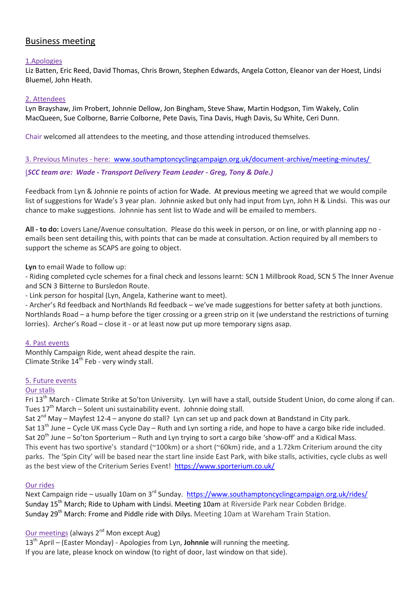# Business meeting

#### 1.Apologies

Liz Batten, Eric Reed, David Thomas, Chris Brown, Stephen Edwards, Angela Cotton, Eleanor van der Hoest, Lindsi Bluemel, John Heath.

#### 2. Attendees

Lyn Brayshaw, Jim Probert, Johnnie Dellow, Jon Bingham, Steve Shaw, Martin Hodgson, Tim Wakely, Colin MacQueen, Sue Colborne, Barrie Colborne, Pete Davis, Tina Davis, Hugh Davis, Su White, Ceri Dunn.

Chair welcomed all attendees to the meeting, and those attending introduced themselves.

3. Previous Minutes - here: [www.southamptoncyclingcampaign.org.uk/document-archive/meeting-minutes/](http://www.southamptoncyclingcampaign.org.uk/document-archive/meeting-minutes/)

#### (*SCC team are: Wade - Transport Delivery Team Leader - Greg, Tony & Dale.)*

Feedback from Lyn & Johnnie re points of action for Wade. At previous meeting we agreed that we would compile list of suggestions for Wade's 3 year plan. Johnnie asked but only had input from Lyn, John H & Lindsi. This was our chance to make suggestions. Johnnie has sent list to Wade and will be emailed to members.

**All - to do:** Lovers Lane/Avenue consultation. Please do this week in person, or on line, or with planning app no emails been sent detailing this, with points that can be made at consultation. Action required by all members to support the scheme as SCAPS are going to object.

**Lyn** to email Wade to follow up:

- Riding completed cycle schemes for a final check and lessons learnt: SCN 1 Millbrook Road, SCN 5 The Inner Avenue and SCN 3 Bitterne to Bursledon Route.

- Link person for hospital (Lyn, Angela, Katherine want to meet).

- Archer's Rd feedback and Northlands Rd feedback – we've made suggestions for better safety at both junctions. Northlands Road – a hump before the tiger crossing or a green strip on it (we understand the restrictions of turning lorries). Archer's Road – close it - or at least now put up more temporary signs asap.

#### 4. Past events

Monthly Campaign Ride, went ahead despite the rain. Climate Strike  $14<sup>th</sup>$  Feb - very windy stall.

#### 5. Future events

#### Our stalls

Fri 13th March - Climate Strike at So'ton University. Lyn will have a stall, outside Student Union, do come along if can. Tues  $17<sup>th</sup>$  March – Solent uni sustainability event. Johnnie doing stall.

Sat 2<sup>nd</sup> May – Mayfest 12-4 – anyone do stall? Lyn can set up and pack down at Bandstand in City park. Sat  $13<sup>th</sup>$  June – Cycle UK mass Cycle Day – Ruth and Lyn sorting a ride, and hope to have a cargo bike ride included. Sat  $20^{th}$  June – So'ton Sporterium – Ruth and Lyn trying to sort a cargo bike 'show-off' and a Kidical Mass. This event has two sportive's standard (~100km) or a short (~60km) ride, and a 1.72km Criterium around the city parks. The 'Spin City' will be based near the start line inside East Park, with bike stalls, activities, cycle clubs as well as the best view of the Criterium Series Event!<https://www.sporterium.co.uk/>

#### Our rides

Next Campaign ride – usually 10am on 3<sup>rd</sup> Sunday.<https://www.southamptoncyclingcampaign.org.uk/rides/> Sunday 15<sup>th</sup> March; Ride to Upham with Lindsi. Meeting 10am at Riverside Park near Cobden Bridge. Sunday 29<sup>th</sup> March: Frome and Piddle ride with Dilys. Meeting 10am at Wareham Train Station.

# Our meetings (always 2<sup>nd</sup> Mon except Aug)

13th April – (Easter Monday) - Apologies from Lyn, **Johnnie** will running the meeting. If you are late, please knock on window (to right of door, last window on that side).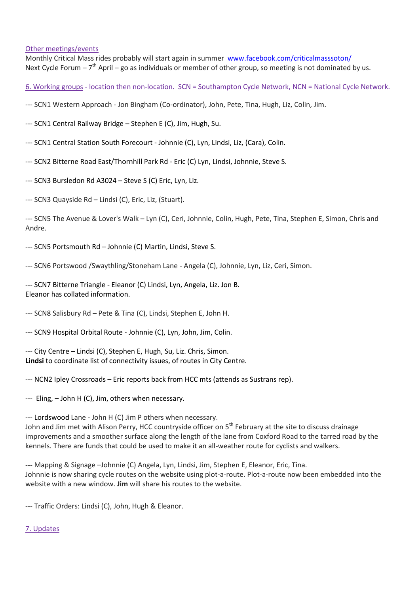#### Other meetings/events

Monthly Critical Mass rides probably will start again in summer [www.facebook.com/criticalmasssoton/](https://www.facebook.com/criticalmasssoton/) Next Cycle Forum - 7<sup>th</sup> April - go as individuals or member of other group, so meeting is not dominated by us.

6. Working groups - location then non-location. SCN = Southampton Cycle Network, NCN = National Cycle Network.

- --- SCN1 Western Approach Jon Bingham (Co-ordinator), John, Pete, Tina, Hugh, Liz, Colin, Jim.
- --- SCN1 Central Railway Bridge Stephen E (C), Jim, Hugh, Su.
- --- SCN1 Central Station South Forecourt Johnnie (C), Lyn, Lindsi, Liz, (Cara), Colin.
- --- SCN2 Bitterne Road East/Thornhill Park Rd Eric (C) Lyn, Lindsi, Johnnie, Steve S.
- --- SCN3 Bursledon Rd A3024 Steve S (C) Eric, Lyn, Liz.
- --- SCN3 Quayside Rd Lindsi (C), Eric, Liz, (Stuart).

--- SCN5 The Avenue & Lover's Walk – Lyn (C), Ceri, Johnnie, Colin, Hugh, Pete, Tina, Stephen E, Simon, Chris and Andre.

- --- SCN5 Portsmouth Rd Johnnie (C) Martin, Lindsi, Steve S.
- --- SCN6 Portswood /Swaythling/Stoneham Lane Angela (C), Johnnie, Lyn, Liz, Ceri, Simon.

--- SCN7 Bitterne Triangle - Eleanor (C) Lindsi, Lyn, Angela, Liz. Jon B. Eleanor has collated information.

--- SCN8 Salisbury Rd – Pete & Tina (C), Lindsi, Stephen E, John H.

--- SCN9 Hospital Orbital Route - Johnnie (C), Lyn, John, Jim, Colin.

--- City Centre – Lindsi (C), Stephen E, Hugh, Su, Liz. Chris, Simon. **Lindsi** to coordinate list of connectivity issues, of routes in City Centre.

--- NCN2 Ipley Crossroads – Eric reports back from HCC mts (attends as Sustrans rep).

--- Eling, – John H (C), Jim, others when necessary.

--- Lordswood Lane - John H (C) Jim P others when necessary.

John and Jim met with Alison Perry, HCC countryside officer on 5<sup>th</sup> February at the site to discuss drainage improvements and a smoother surface along the length of the lane from Coxford Road to the tarred road by the kennels. There are funds that could be used to make it an all-weather route for cyclists and walkers.

--- Mapping & Signage –Johnnie (C) Angela, Lyn, Lindsi, Jim, Stephen E, Eleanor, Eric, Tina. Johnnie is now sharing cycle routes on the website using plot-a-route. Plot-a-route now been embedded into the website with a new window. **Jim** will share his routes to the website.

--- Traffic Orders: Lindsi (C), John, Hugh & Eleanor.

# 7. Updates